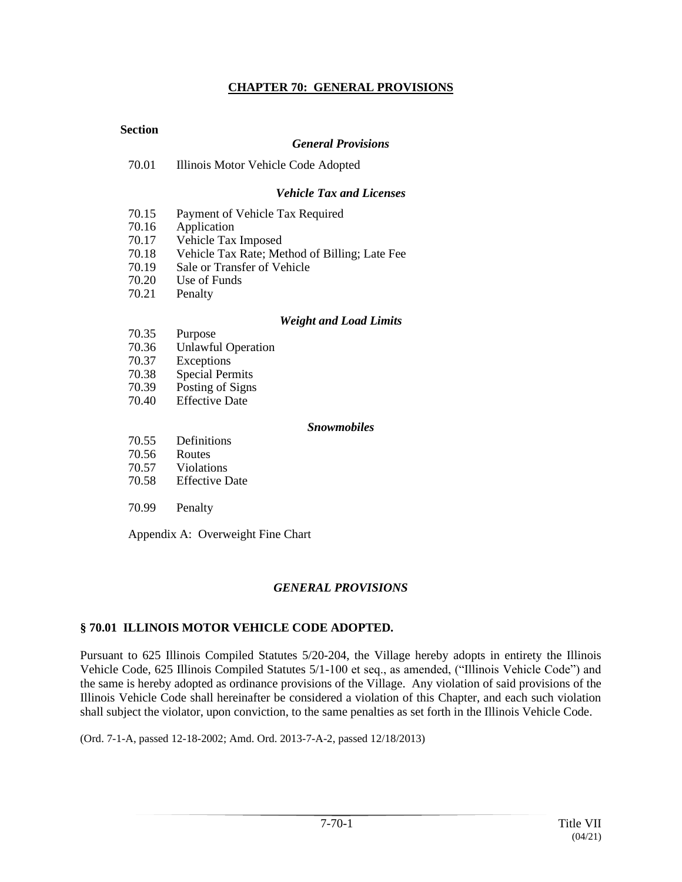## **CHAPTER 70: GENERAL PROVISIONS**

### **Section**

#### *General Provisions*

70.01 Illinois Motor Vehicle Code Adopted

#### *Vehicle Tax and Licenses*

- 70.15 Payment of Vehicle Tax Required
- 70.16 Application
- 70.17 Vehicle Tax Imposed
- 70.18 Vehicle Tax Rate; Method of Billing; Late Fee
- 70.19 Sale or Transfer of Vehicle
- 70.20 Use of Funds
- 70.21 Penalty

#### *Weight and Load Limits*

- 70.35 Purpose
- 70.36 Unlawful Operation
- 70.37 Exceptions
- 70.38 Special Permits
- 70.39 Posting of Signs
- 70.40 Effective Date

#### *Snowmobiles*

- 70.55 Definitions
- 70.56 Routes
- 70.57 Violations
- 70.58 Effective Date
- 70.99 Penalty

Appendix A: Overweight Fine Chart

## *GENERAL PROVISIONS*

## **§ 70.01 ILLINOIS MOTOR VEHICLE CODE ADOPTED.**

Pursuant to 625 Illinois Compiled Statutes 5/20-204, the Village hereby adopts in entirety the Illinois Vehicle Code, 625 Illinois Compiled Statutes 5/1-100 et seq., as amended, ("Illinois Vehicle Code") and the same is hereby adopted as ordinance provisions of the Village. Any violation of said provisions of the Illinois Vehicle Code shall hereinafter be considered a violation of this Chapter, and each such violation shall subject the violator, upon conviction, to the same penalties as set forth in the Illinois Vehicle Code.

(Ord. 7-1-A, passed 12-18-2002; Amd. Ord. 2013-7-A-2, passed 12/18/2013)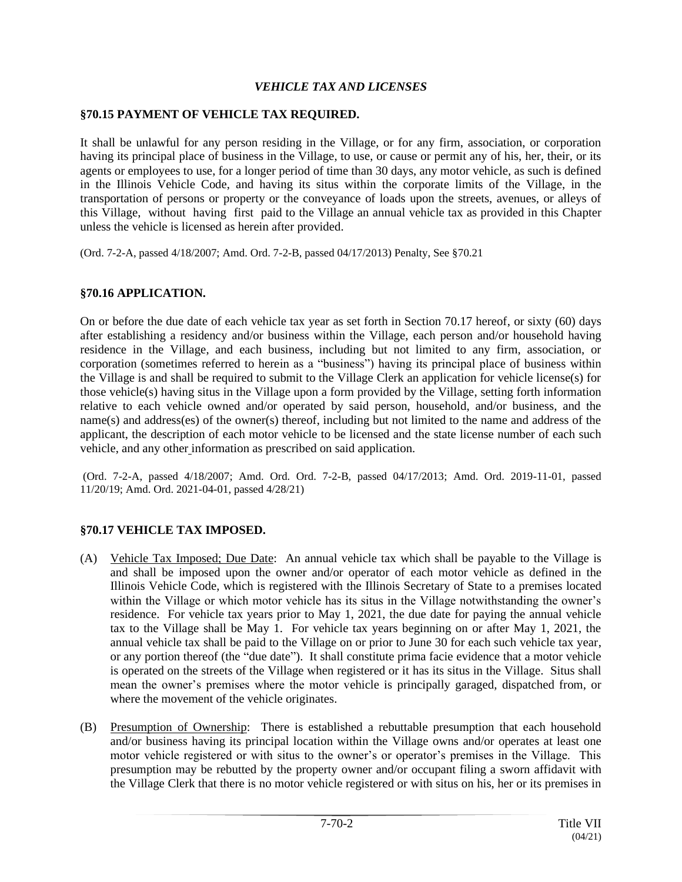## *VEHICLE TAX AND LICENSES*

## **§70.15 PAYMENT OF VEHICLE TAX REQUIRED.**

It shall be unlawful for any person residing in the Village, or for any firm, association, or corporation having its principal place of business in the Village, to use, or cause or permit any of his, her, their, or its agents or employees to use, for a longer period of time than 30 days, any motor vehicle, as such is defined in the Illinois Vehicle Code, and having its situs within the corporate limits of the Village, in the transportation of persons or property or the conveyance of loads upon the streets, avenues, or alleys of this Village, without having first paid to the Village an annual vehicle tax as provided in this Chapter unless the vehicle is licensed as herein after provided.

(Ord. 7-2-A, passed 4/18/2007; Amd. Ord. 7-2-B, passed 04/17/2013) Penalty, See §70.21

## **§70.16 APPLICATION.**

On or before the due date of each vehicle tax year as set forth in Section 70.17 hereof, or sixty (60) days after establishing a residency and/or business within the Village, each person and/or household having residence in the Village, and each business, including but not limited to any firm, association, or corporation (sometimes referred to herein as a "business") having its principal place of business within the Village is and shall be required to submit to the Village Clerk an application for vehicle license(s) for those vehicle(s) having situs in the Village upon a form provided by the Village, setting forth information relative to each vehicle owned and/or operated by said person, household, and/or business, and the name(s) and address(es) of the owner(s) thereof, including but not limited to the name and address of the applicant, the description of each motor vehicle to be licensed and the state license number of each such vehicle, and any other information as prescribed on said application.

(Ord. 7-2-A, passed 4/18/2007; Amd. Ord. Ord. 7-2-B, passed 04/17/2013; Amd. Ord. 2019-11-01, passed 11/20/19; Amd. Ord. 2021-04-01, passed 4/28/21)

# **§70.17 VEHICLE TAX IMPOSED.**

- (A) Vehicle Tax Imposed; Due Date: An annual vehicle tax which shall be payable to the Village is and shall be imposed upon the owner and/or operator of each motor vehicle as defined in the Illinois Vehicle Code, which is registered with the Illinois Secretary of State to a premises located within the Village or which motor vehicle has its situs in the Village notwithstanding the owner's residence. For vehicle tax years prior to May 1, 2021, the due date for paying the annual vehicle tax to the Village shall be May 1. For vehicle tax years beginning on or after May 1, 2021, the annual vehicle tax shall be paid to the Village on or prior to June 30 for each such vehicle tax year, or any portion thereof (the "due date"). It shall constitute prima facie evidence that a motor vehicle is operated on the streets of the Village when registered or it has its situs in the Village. Situs shall mean the owner's premises where the motor vehicle is principally garaged, dispatched from, or where the movement of the vehicle originates.
- (B) Presumption of Ownership: There is established a rebuttable presumption that each household and/or business having its principal location within the Village owns and/or operates at least one motor vehicle registered or with situs to the owner's or operator's premises in the Village. This presumption may be rebutted by the property owner and/or occupant filing a sworn affidavit with the Village Clerk that there is no motor vehicle registered or with situs on his, her or its premises in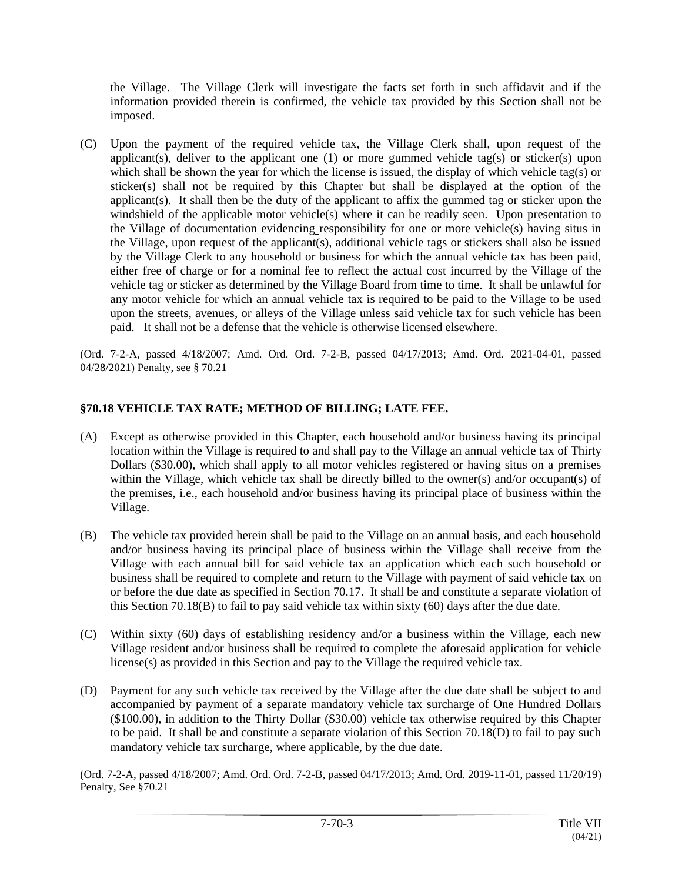the Village. The Village Clerk will investigate the facts set forth in such affidavit and if the information provided therein is confirmed, the vehicle tax provided by this Section shall not be imposed.

(C) Upon the payment of the required vehicle tax, the Village Clerk shall, upon request of the applicant(s), deliver to the applicant one  $(1)$  or more gummed vehicle tag(s) or sticker(s) upon which shall be shown the year for which the license is issued, the display of which vehicle tag(s) or sticker(s) shall not be required by this Chapter but shall be displayed at the option of the applicant(s). It shall then be the duty of the applicant to affix the gummed tag or sticker upon the windshield of the applicable motor vehicle(s) where it can be readily seen. Upon presentation to the Village of documentation evidencing responsibility for one or more vehicle(s) having situs in the Village, upon request of the applicant(s), additional vehicle tags or stickers shall also be issued by the Village Clerk to any household or business for which the annual vehicle tax has been paid, either free of charge or for a nominal fee to reflect the actual cost incurred by the Village of the vehicle tag or sticker as determined by the Village Board from time to time. It shall be unlawful for any motor vehicle for which an annual vehicle tax is required to be paid to the Village to be used upon the streets, avenues, or alleys of the Village unless said vehicle tax for such vehicle has been paid. It shall not be a defense that the vehicle is otherwise licensed elsewhere.

(Ord. 7-2-A, passed 4/18/2007; Amd. Ord. Ord. 7-2-B, passed 04/17/2013; Amd. Ord. 2021-04-01, passed 04/28/2021) Penalty, see § 70.21

# **§70.18 VEHICLE TAX RATE; METHOD OF BILLING; LATE FEE.**

- (A) Except as otherwise provided in this Chapter, each household and/or business having its principal location within the Village is required to and shall pay to the Village an annual vehicle tax of Thirty Dollars (\$30.00), which shall apply to all motor vehicles registered or having situs on a premises within the Village, which vehicle tax shall be directly billed to the owner(s) and/or occupant(s) of the premises, i.e., each household and/or business having its principal place of business within the Village.
- (B) The vehicle tax provided herein shall be paid to the Village on an annual basis, and each household and/or business having its principal place of business within the Village shall receive from the Village with each annual bill for said vehicle tax an application which each such household or business shall be required to complete and return to the Village with payment of said vehicle tax on or before the due date as specified in Section 70.17. It shall be and constitute a separate violation of this Section 70.18(B) to fail to pay said vehicle tax within sixty (60) days after the due date.
- (C) Within sixty (60) days of establishing residency and/or a business within the Village, each new Village resident and/or business shall be required to complete the aforesaid application for vehicle license(s) as provided in this Section and pay to the Village the required vehicle tax.
- (D) Payment for any such vehicle tax received by the Village after the due date shall be subject to and accompanied by payment of a separate mandatory vehicle tax surcharge of One Hundred Dollars (\$100.00), in addition to the Thirty Dollar (\$30.00) vehicle tax otherwise required by this Chapter to be paid. It shall be and constitute a separate violation of this Section 70.18(D) to fail to pay such mandatory vehicle tax surcharge, where applicable, by the due date.

(Ord. 7-2-A, passed 4/18/2007; Amd. Ord. Ord. 7-2-B, passed 04/17/2013; Amd. Ord. 2019-11-01, passed 11/20/19) Penalty, See §70.21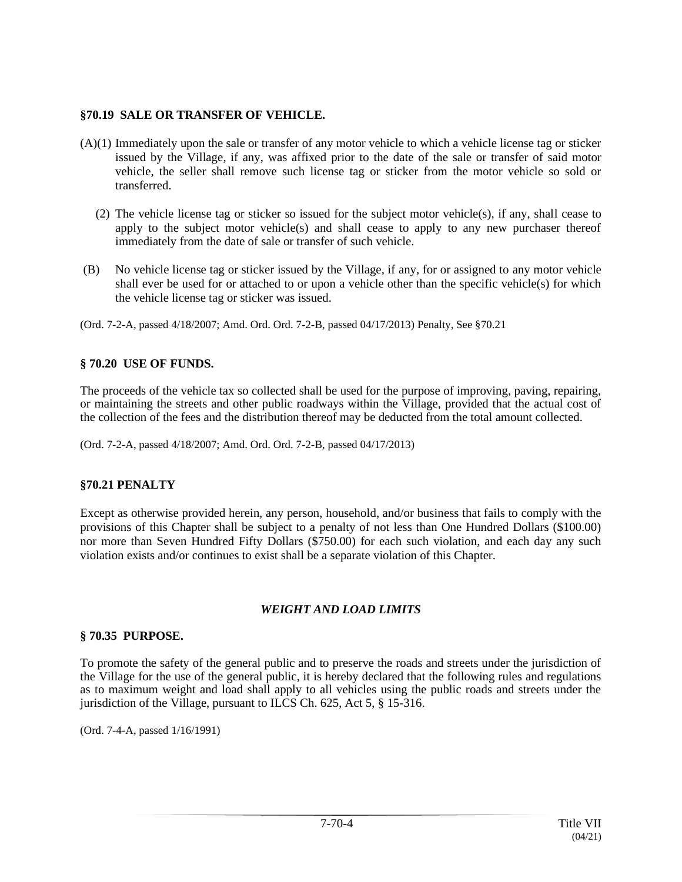### **§70.19 SALE OR TRANSFER OF VEHICLE.**

- (A)(1) Immediately upon the sale or transfer of any motor vehicle to which a vehicle license tag or sticker issued by the Village, if any, was affixed prior to the date of the sale or transfer of said motor vehicle, the seller shall remove such license tag or sticker from the motor vehicle so sold or transferred.
	- (2) The vehicle license tag or sticker so issued for the subject motor vehicle(s), if any, shall cease to apply to the subject motor vehicle(s) and shall cease to apply to any new purchaser thereof immediately from the date of sale or transfer of such vehicle.
- (B) No vehicle license tag or sticker issued by the Village, if any, for or assigned to any motor vehicle shall ever be used for or attached to or upon a vehicle other than the specific vehicle(s) for which the vehicle license tag or sticker was issued.
- (Ord. 7-2-A, passed 4/18/2007; Amd. Ord. Ord. 7-2-B, passed 04/17/2013) Penalty, See §70.21

# **§ 70.20 USE OF FUNDS.**

The proceeds of the vehicle tax so collected shall be used for the purpose of improving, paving, repairing, or maintaining the streets and other public roadways within the Village, provided that the actual cost of the collection of the fees and the distribution thereof may be deducted from the total amount collected.

(Ord. 7-2-A, passed 4/18/2007; Amd. Ord. Ord. 7-2-B, passed 04/17/2013)

## **§70.21 PENALTY**

Except as otherwise provided herein, any person, household, and/or business that fails to comply with the provisions of this Chapter shall be subject to a penalty of not less than One Hundred Dollars (\$100.00) nor more than Seven Hundred Fifty Dollars (\$750.00) for each such violation, and each day any such violation exists and/or continues to exist shall be a separate violation of this Chapter.

## *WEIGHT AND LOAD LIMITS*

#### **§ 70.35 PURPOSE.**

To promote the safety of the general public and to preserve the roads and streets under the jurisdiction of the Village for the use of the general public, it is hereby declared that the following rules and regulations as to maximum weight and load shall apply to all vehicles using the public roads and streets under the jurisdiction of the Village, pursuant to ILCS Ch. 625, Act 5, § 15-316.

(Ord. 7-4-A, passed 1/16/1991)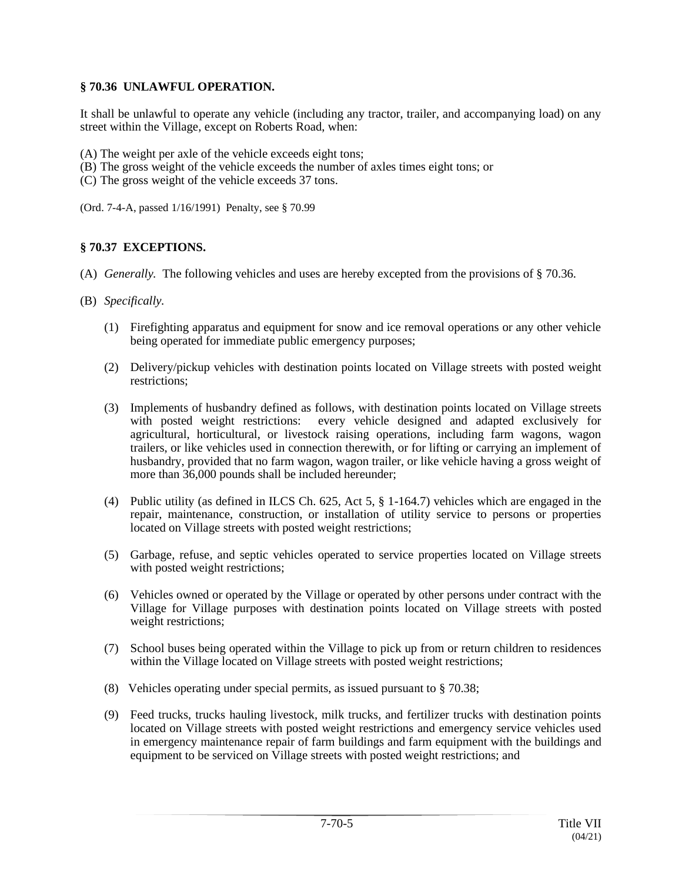## **§ 70.36 UNLAWFUL OPERATION.**

It shall be unlawful to operate any vehicle (including any tractor, trailer, and accompanying load) on any street within the Village, except on Roberts Road, when:

- (A) The weight per axle of the vehicle exceeds eight tons;
- (B) The gross weight of the vehicle exceeds the number of axles times eight tons; or
- (C) The gross weight of the vehicle exceeds 37 tons.

(Ord. 7-4-A, passed 1/16/1991) Penalty, see § 70.99

## **§ 70.37 EXCEPTIONS.**

- (A) *Generally.* The following vehicles and uses are hereby excepted from the provisions of § 70.36.
- (B) *Specifically.*
	- (1) Firefighting apparatus and equipment for snow and ice removal operations or any other vehicle being operated for immediate public emergency purposes;
	- (2) Delivery/pickup vehicles with destination points located on Village streets with posted weight restrictions;
	- (3) Implements of husbandry defined as follows, with destination points located on Village streets with posted weight restrictions: every vehicle designed and adapted exclusively for agricultural, horticultural, or livestock raising operations, including farm wagons, wagon trailers, or like vehicles used in connection therewith, or for lifting or carrying an implement of husbandry, provided that no farm wagon, wagon trailer, or like vehicle having a gross weight of more than 36,000 pounds shall be included hereunder;
	- (4) Public utility (as defined in ILCS Ch. 625, Act 5, § 1-164.7) vehicles which are engaged in the repair, maintenance, construction, or installation of utility service to persons or properties located on Village streets with posted weight restrictions;
	- (5) Garbage, refuse, and septic vehicles operated to service properties located on Village streets with posted weight restrictions;
	- (6) Vehicles owned or operated by the Village or operated by other persons under contract with the Village for Village purposes with destination points located on Village streets with posted weight restrictions;
	- (7) School buses being operated within the Village to pick up from or return children to residences within the Village located on Village streets with posted weight restrictions;
	- (8) Vehicles operating under special permits, as issued pursuant to § 70.38;
	- (9) Feed trucks, trucks hauling livestock, milk trucks, and fertilizer trucks with destination points located on Village streets with posted weight restrictions and emergency service vehicles used in emergency maintenance repair of farm buildings and farm equipment with the buildings and equipment to be serviced on Village streets with posted weight restrictions; and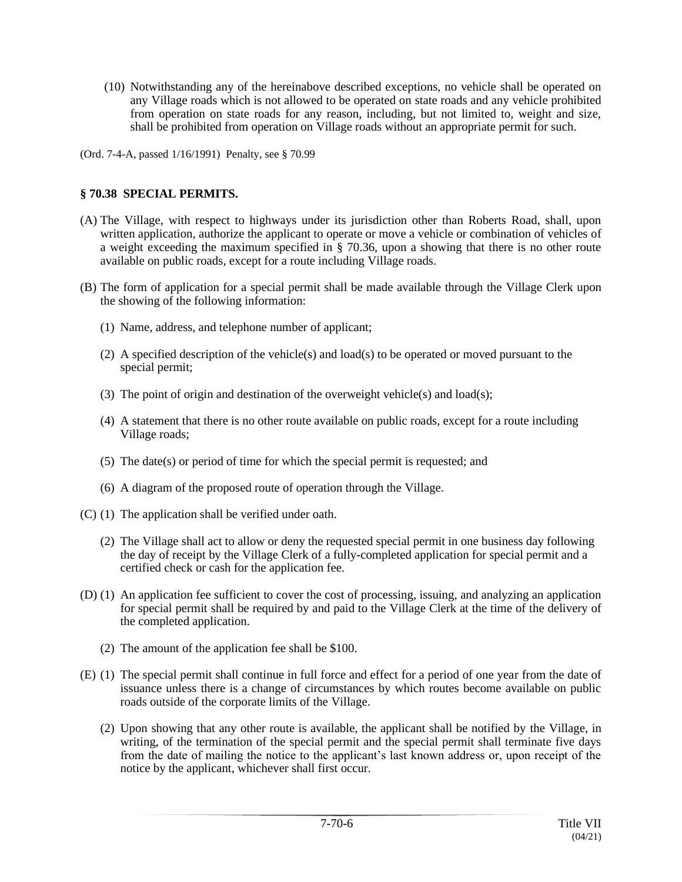- (10) Notwithstanding any of the hereinabove described exceptions, no vehicle shall be operated on any Village roads which is not allowed to be operated on state roads and any vehicle prohibited from operation on state roads for any reason, including, but not limited to, weight and size, shall be prohibited from operation on Village roads without an appropriate permit for such.
- (Ord. 7-4-A, passed 1/16/1991) Penalty, see § 70.99

## **§ 70.38 SPECIAL PERMITS.**

- (A) The Village, with respect to highways under its jurisdiction other than Roberts Road, shall, upon written application, authorize the applicant to operate or move a vehicle or combination of vehicles of a weight exceeding the maximum specified in § 70.36, upon a showing that there is no other route available on public roads, except for a route including Village roads.
- (B) The form of application for a special permit shall be made available through the Village Clerk upon the showing of the following information:
	- (1) Name, address, and telephone number of applicant;
	- (2) A specified description of the vehicle(s) and load(s) to be operated or moved pursuant to the special permit;
	- (3) The point of origin and destination of the overweight vehicle(s) and load(s);
	- (4) A statement that there is no other route available on public roads, except for a route including Village roads;
	- (5) The date(s) or period of time for which the special permit is requested; and
	- (6) A diagram of the proposed route of operation through the Village.
- (C) (1) The application shall be verified under oath.
	- (2) The Village shall act to allow or deny the requested special permit in one business day following the day of receipt by the Village Clerk of a fully-completed application for special permit and a certified check or cash for the application fee.
- (D) (1) An application fee sufficient to cover the cost of processing, issuing, and analyzing an application for special permit shall be required by and paid to the Village Clerk at the time of the delivery of the completed application.
	- (2) The amount of the application fee shall be \$100.
- (E) (1) The special permit shall continue in full force and effect for a period of one year from the date of issuance unless there is a change of circumstances by which routes become available on public roads outside of the corporate limits of the Village.
	- (2) Upon showing that any other route is available, the applicant shall be notified by the Village, in writing, of the termination of the special permit and the special permit shall terminate five days from the date of mailing the notice to the applicant's last known address or, upon receipt of the notice by the applicant, whichever shall first occur.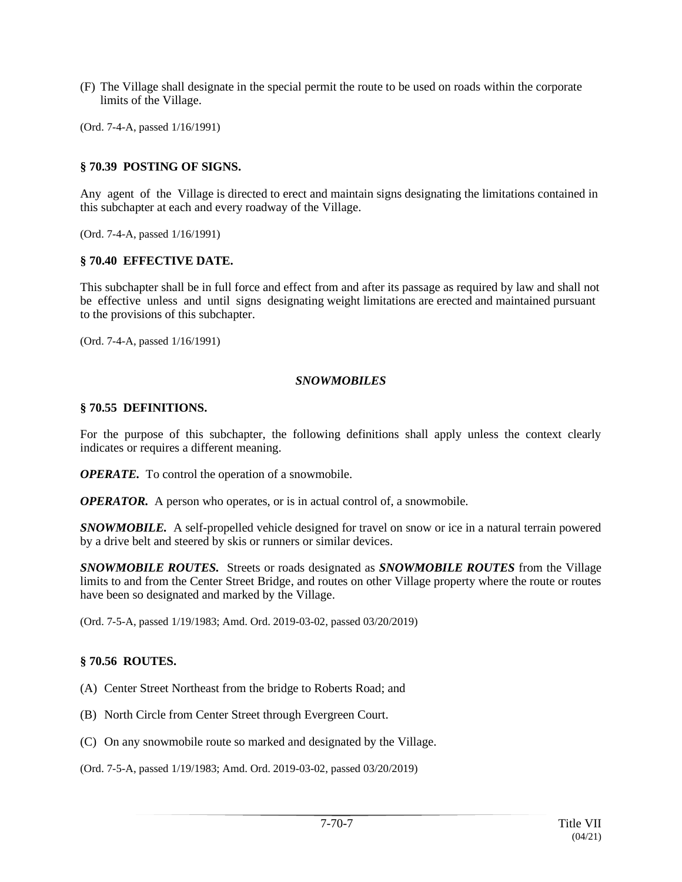- (F) The Village shall designate in the special permit the route to be used on roads within the corporate limits of the Village.
- (Ord. 7-4-A, passed 1/16/1991)

#### **§ 70.39 POSTING OF SIGNS.**

Any agent of the Village is directed to erect and maintain signs designating the limitations contained in this subchapter at each and every roadway of the Village.

(Ord. 7-4-A, passed 1/16/1991)

#### **§ 70.40 EFFECTIVE DATE.**

This subchapter shall be in full force and effect from and after its passage as required by law and shall not be effective unless and until signs designating weight limitations are erected and maintained pursuant to the provisions of this subchapter.

(Ord. 7-4-A, passed 1/16/1991)

#### *SNOWMOBILES*

#### **§ 70.55 DEFINITIONS.**

For the purpose of this subchapter, the following definitions shall apply unless the context clearly indicates or requires a different meaning.

*OPERATE.* To control the operation of a snowmobile.

*OPERATOR.* A person who operates, or is in actual control of, a snowmobile.

*SNOWMOBILE.* A self-propelled vehicle designed for travel on snow or ice in a natural terrain powered by a drive belt and steered by skis or runners or similar devices.

*SNOWMOBILE ROUTES.* Streets or roads designated as *SNOWMOBILE ROUTES* from the Village limits to and from the Center Street Bridge, and routes on other Village property where the route or routes have been so designated and marked by the Village.

(Ord. 7-5-A, passed 1/19/1983; Amd. Ord. 2019-03-02, passed 03/20/2019)

#### **§ 70.56 ROUTES.**

- (A) Center Street Northeast from the bridge to Roberts Road; and
- (B) North Circle from Center Street through Evergreen Court.
- (C) On any snowmobile route so marked and designated by the Village.

(Ord. 7-5-A, passed 1/19/1983; Amd. Ord. 2019-03-02, passed 03/20/2019)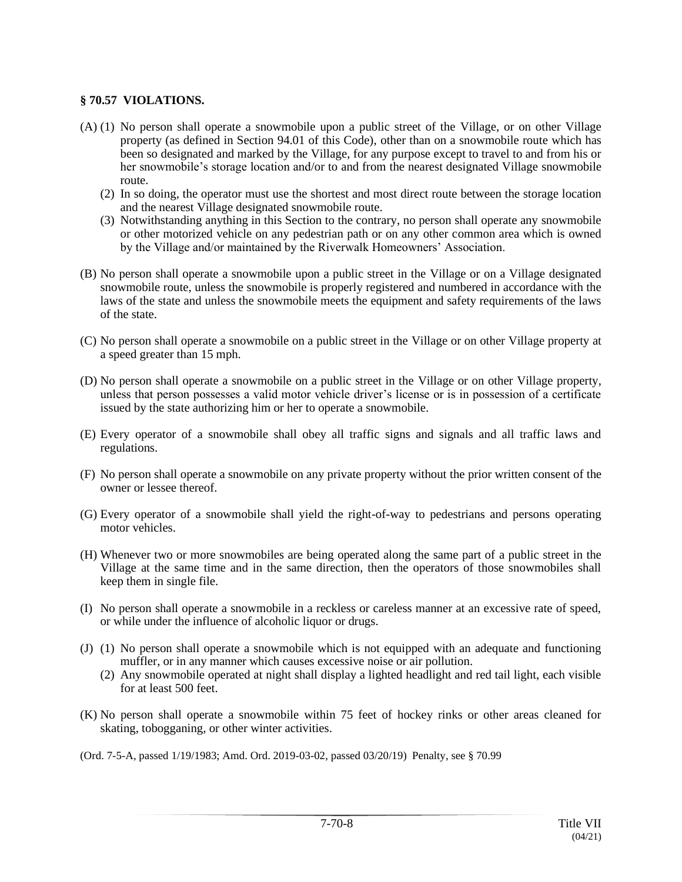## **§ 70.57 VIOLATIONS.**

- (A) (1) No person shall operate a snowmobile upon a public street of the Village, or on other Village property (as defined in Section 94.01 of this Code), other than on a snowmobile route which has been so designated and marked by the Village, for any purpose except to travel to and from his or her snowmobile's storage location and/or to and from the nearest designated Village snowmobile route.
	- (2) In so doing, the operator must use the shortest and most direct route between the storage location and the nearest Village designated snowmobile route.
	- (3) Notwithstanding anything in this Section to the contrary, no person shall operate any snowmobile or other motorized vehicle on any pedestrian path or on any other common area which is owned by the Village and/or maintained by the Riverwalk Homeowners' Association.
- (B) No person shall operate a snowmobile upon a public street in the Village or on a Village designated snowmobile route, unless the snowmobile is properly registered and numbered in accordance with the laws of the state and unless the snowmobile meets the equipment and safety requirements of the laws of the state.
- (C) No person shall operate a snowmobile on a public street in the Village or on other Village property at a speed greater than 15 mph.
- (D) No person shall operate a snowmobile on a public street in the Village or on other Village property, unless that person possesses a valid motor vehicle driver's license or is in possession of a certificate issued by the state authorizing him or her to operate a snowmobile.
- (E) Every operator of a snowmobile shall obey all traffic signs and signals and all traffic laws and regulations.
- (F) No person shall operate a snowmobile on any private property without the prior written consent of the owner or lessee thereof.
- (G) Every operator of a snowmobile shall yield the right-of-way to pedestrians and persons operating motor vehicles.
- (H) Whenever two or more snowmobiles are being operated along the same part of a public street in the Village at the same time and in the same direction, then the operators of those snowmobiles shall keep them in single file.
- (I) No person shall operate a snowmobile in a reckless or careless manner at an excessive rate of speed, or while under the influence of alcoholic liquor or drugs.
- (J) (1) No person shall operate a snowmobile which is not equipped with an adequate and functioning muffler, or in any manner which causes excessive noise or air pollution.
	- (2) Any snowmobile operated at night shall display a lighted headlight and red tail light, each visible for at least 500 feet.
- (K) No person shall operate a snowmobile within 75 feet of hockey rinks or other areas cleaned for skating, tobogganing, or other winter activities.

(Ord. 7-5-A, passed 1/19/1983; Amd. Ord. 2019-03-02, passed 03/20/19) Penalty, see § 70.99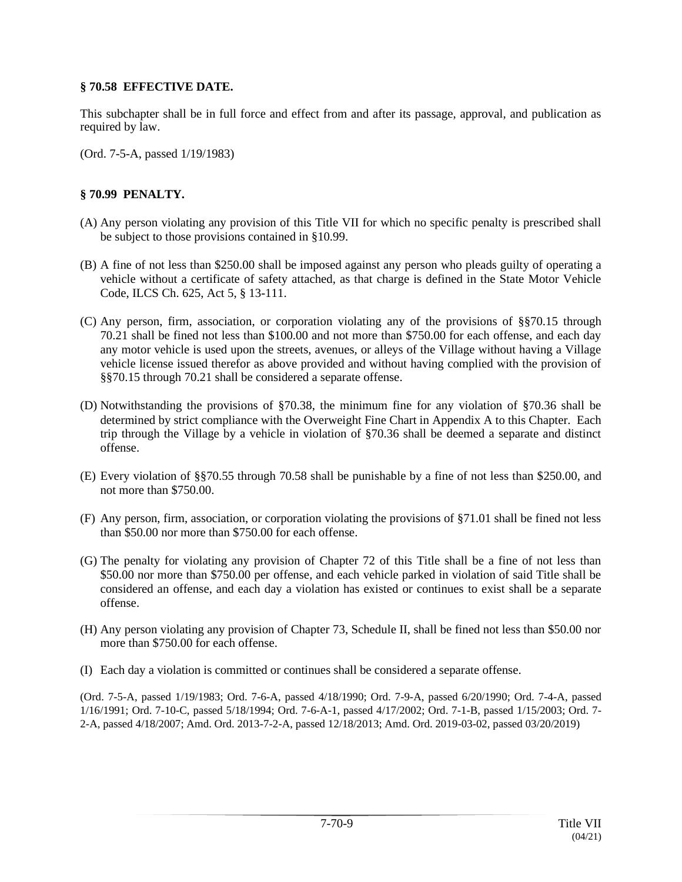## **§ 70.58 EFFECTIVE DATE.**

This subchapter shall be in full force and effect from and after its passage, approval, and publication as required by law.

(Ord. 7-5-A, passed 1/19/1983)

# **§ 70.99 PENALTY.**

- (A) Any person violating any provision of this Title VII for which no specific penalty is prescribed shall be subject to those provisions contained in §10.99.
- (B) A fine of not less than \$250.00 shall be imposed against any person who pleads guilty of operating a vehicle without a certificate of safety attached, as that charge is defined in the State Motor Vehicle Code, ILCS Ch. 625, Act 5, § 13-111.
- (C) Any person, firm, association, or corporation violating any of the provisions of §§70.15 through 70.21 shall be fined not less than \$100.00 and not more than \$750.00 for each offense, and each day any motor vehicle is used upon the streets, avenues, or alleys of the Village without having a Village vehicle license issued therefor as above provided and without having complied with the provision of §§70.15 through 70.21 shall be considered a separate offense.
- (D) Notwithstanding the provisions of §70.38, the minimum fine for any violation of §70.36 shall be determined by strict compliance with the Overweight Fine Chart in Appendix A to this Chapter. Each trip through the Village by a vehicle in violation of §70.36 shall be deemed a separate and distinct offense.
- (E) Every violation of §§70.55 through 70.58 shall be punishable by a fine of not less than \$250.00, and not more than \$750.00.
- (F) Any person, firm, association, or corporation violating the provisions of §71.01 shall be fined not less than \$50.00 nor more than \$750.00 for each offense.
- (G) The penalty for violating any provision of Chapter 72 of this Title shall be a fine of not less than \$50.00 nor more than \$750.00 per offense, and each vehicle parked in violation of said Title shall be considered an offense, and each day a violation has existed or continues to exist shall be a separate offense.
- (H) Any person violating any provision of Chapter 73, Schedule II, shall be fined not less than \$50.00 nor more than \$750.00 for each offense.
- (I) Each day a violation is committed or continues shall be considered a separate offense.

(Ord. 7-5-A, passed 1/19/1983; Ord. 7-6-A, passed 4/18/1990; Ord. 7-9-A, passed 6/20/1990; Ord. 7-4-A, passed 1/16/1991; Ord. 7-10-C, passed 5/18/1994; Ord. 7-6-A-1, passed 4/17/2002; Ord. 7-1-B, passed 1/15/2003; Ord. 7- 2-A, passed 4/18/2007; Amd. Ord. 2013-7-2-A, passed 12/18/2013; Amd. Ord. 2019-03-02, passed 03/20/2019)